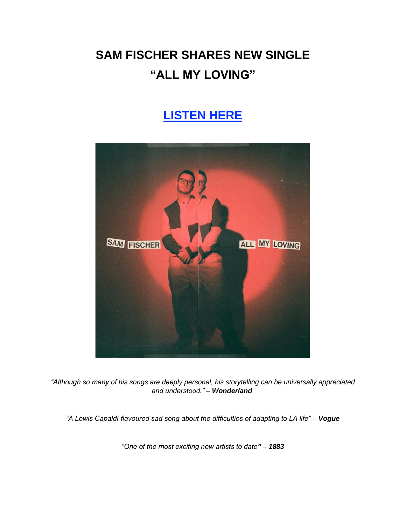# **SAM FISCHER SHARES NEW SINGLE "ALL MY LOVING"**

## **[LISTEN HERE](https://eur01.safelinks.protection.outlook.com/?url=https%3A%2F%2Fsmfschr.com%2Fallmyloving&data=05%7C01%7Cnoelle.janasiewicz.sme%40sonymusic.com%7C4f0c35488a6b41689d8108da507de8dd%7Cf0aff3b791a54aaeaf71c63e1dda2049%7C0%7C0%7C637910798947616077%7CUnknown%7CTWFpbGZsb3d8eyJWIjoiMC4wLjAwMDAiLCJQIjoiV2luMzIiLCJBTiI6Ik1haWwiLCJXVCI6Mn0%3D%7C3000%7C%7C%7C&sdata=cvlkDuLGJEJfPffBlnh9UyT1iFHjWnTDQcd2PwplIEo%3D&reserved=0)**



*"Although so many of his songs are deeply personal, his storytelling can be universally appreciated and understood." – Wonderland*

*"A Lewis Capaldi-flavoured sad song about the difficulties of adapting to LA life" – Vogue*

*"One of the most exciting new artists to date" – 1883*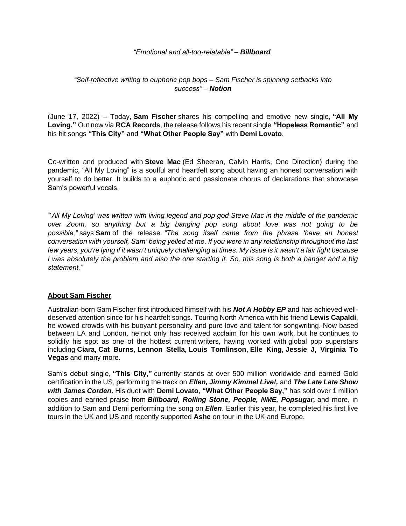#### *"Emotional and all-too-relatable" – Billboard*

#### *"Self-reflective writing to euphoric pop bops – Sam Fischer is spinning setbacks into success" – Notion*

(June 17, 2022) – Today, **Sam Fischer** shares his compelling and emotive new single, **"All My Loving."** Out now via **RCA Records**, the release follows his recent single **"Hopeless Romantic"** and his hit songs **"This City"** and **"What Other People Say"** with **Demi Lovato**.

Co-written and produced with **Steve Mac** (Ed Sheeran, Calvin Harris, One Direction) during the pandemic, "All My Loving" is a soulful and heartfelt song about having an honest conversation with yourself to do better. It builds to a euphoric and passionate chorus of declarations that showcase Sam's powerful vocals.

"'*All My Loving' was written with living legend and pop god Steve Mac in the middle of the pandemic over Zoom, so anything but a big banging pop song about love was not going to be possible,"* says **Sam** of the release. *"The song itself came from the phrase 'have an honest conversation with yourself, Sam' being yelled at me. If you were in any relationship throughout the last few years, you're lying if it wasn't uniquely challenging at times. My issue is it wasn't a fair fight because I was absolutely the problem and also the one starting it. So, this song is both a banger and a big statement."*

#### **About Sam Fischer**

Australian-born Sam Fischer first introduced himself with his *Not A Hobby EP* and has achieved welldeserved attention since for his heartfelt songs. Touring North America with his friend **Lewis Capaldi**, he wowed crowds with his buoyant personality and pure love and talent for songwriting. Now based between LA and London, he not only has received acclaim for his own work, but he continues to solidify his spot as one of the hottest current writers, having worked with global pop superstars including **Ciara, Cat Burns**, **Lennon Stella, Louis Tomlinson, Elle King, Jessie J, Virginia To Vegas** and many more.

Sam's debut single, **"This City,"** currently stands at over 500 million worldwide and earned Gold certification in the US, performing the track on *Ellen, Jimmy Kimmel Live!,* and *The Late Late Show with James Corden*. His duet with **Demi Lovato**, **"What Other People Say,"** has sold over 1 million copies and earned praise from *Billboard, Rolling Stone, People, NME, Popsugar,* and more, in addition to Sam and Demi performing the song on *Ellen*. Earlier this year, he completed his first live tours in the UK and US and recently supported **Ashe** on tour in the UK and Europe.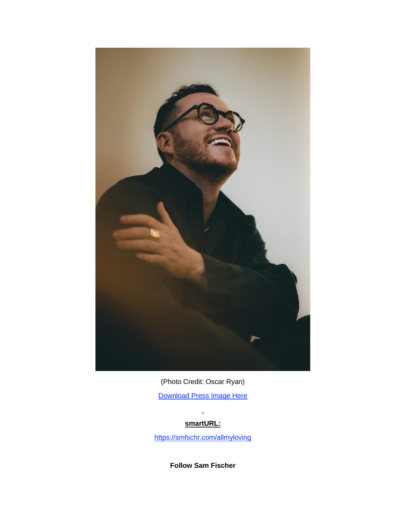

(Photo Credit: Oscar Ryan) [Download Press Image Here](https://eur01.safelinks.protection.outlook.com/?url=https%3A%2F%2Fbit.ly%2F3xutax3&data=05%7C01%7Cnoelle.janasiewicz.sme%40sonymusic.com%7C4f0c35488a6b41689d8108da507de8dd%7Cf0aff3b791a54aaeaf71c63e1dda2049%7C0%7C0%7C637910798947616077%7CUnknown%7CTWFpbGZsb3d8eyJWIjoiMC4wLjAwMDAiLCJQIjoiV2luMzIiLCJBTiI6Ik1haWwiLCJXVCI6Mn0%3D%7C3000%7C%7C%7C&sdata=zCjbHNxBUCMew87SVNu3QnOZhORJ5uW%2Fum3fuF1vfEI%3D&reserved=0)

### **smartURL:**

[https://smfschr.com/allmyloving](https://eur01.safelinks.protection.outlook.com/?url=https%3A%2F%2Fsmfschr.com%2Fallmyloving&data=05%7C01%7Cnoelle.janasiewicz.sme%40sonymusic.com%7C4f0c35488a6b41689d8108da507de8dd%7Cf0aff3b791a54aaeaf71c63e1dda2049%7C0%7C0%7C637910798947616077%7CUnknown%7CTWFpbGZsb3d8eyJWIjoiMC4wLjAwMDAiLCJQIjoiV2luMzIiLCJBTiI6Ik1haWwiLCJXVCI6Mn0%3D%7C3000%7C%7C%7C&sdata=cvlkDuLGJEJfPffBlnh9UyT1iFHjWnTDQcd2PwplIEo%3D&reserved=0)

**Follow Sam Fischer**